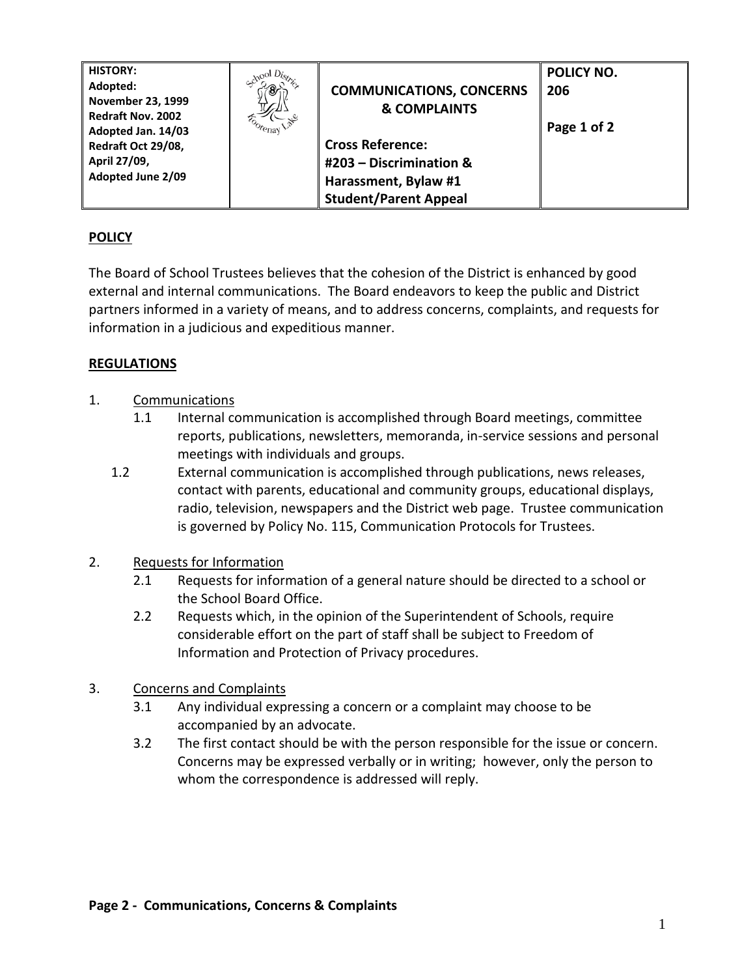| <b>HISTORY:</b>          | $_{\rm col}$ $D_{lsc}$ |                                 | POLICY NO.  |
|--------------------------|------------------------|---------------------------------|-------------|
| Adopted:                 |                        | <b>COMMUNICATIONS, CONCERNS</b> | 206         |
| <b>November 23, 1999</b> |                        |                                 |             |
| <b>Redraft Nov. 2002</b> |                        | <b>&amp; COMPLAINTS</b>         |             |
| Adopted Jan. 14/03       | <sup>coorenay</sup>    |                                 | Page 1 of 2 |
| Redraft Oct 29/08,       |                        | <b>Cross Reference:</b>         |             |
| April 27/09,             |                        | #203 - Discrimination &         |             |
| <b>Adopted June 2/09</b> |                        | Harassment, Bylaw #1            |             |
|                          |                        | <b>Student/Parent Appeal</b>    |             |

## **POLICY**

The Board of School Trustees believes that the cohesion of the District is enhanced by good external and internal communications. The Board endeavors to keep the public and District partners informed in a variety of means, and to address concerns, complaints, and requests for information in a judicious and expeditious manner.

## **REGULATIONS**

- 1. Communications
	- 1.1 Internal communication is accomplished through Board meetings, committee reports, publications, newsletters, memoranda, in-service sessions and personal meetings with individuals and groups.
	- 1.2 External communication is accomplished through publications, news releases, contact with parents, educational and community groups, educational displays, radio, television, newspapers and the District web page. Trustee communication is governed by Policy No. 115, Communication Protocols for Trustees.
- 2. Requests for Information
	- 2.1 Requests for information of a general nature should be directed to a school or the School Board Office.
	- 2.2 Requests which, in the opinion of the Superintendent of Schools, require considerable effort on the part of staff shall be subject to Freedom of Information and Protection of Privacy procedures.
- 3. Concerns and Complaints
	- 3.1 Any individual expressing a concern or a complaint may choose to be accompanied by an advocate.
	- 3.2 The first contact should be with the person responsible for the issue or concern. Concerns may be expressed verbally or in writing; however, only the person to whom the correspondence is addressed will reply.